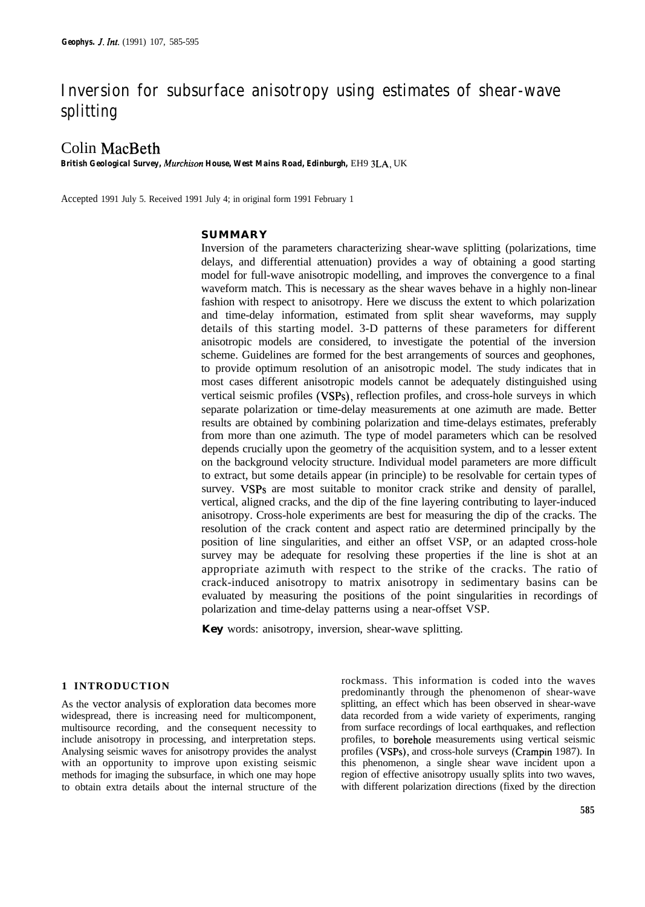# **Inversion for subsurface anisotropy using estimates of shear-wave splitting**

Colin MacBeth

*British Geological Survey, Murchison House, West Mains Road, Edinburgh,* EH9 3LA, UK

Accepted 1991 July 5. Received 1991 July 4; in original form 1991 February 1

# **SUMMARY**

Inversion of the parameters characterizing shear-wave splitting (polarizations, time delays, and differential attenuation) provides a way of obtaining a good starting model for full-wave anisotropic modelling, and improves the convergence to a final waveform match. This is necessary as the shear waves behave in a highly non-linear fashion with respect to anisotropy. Here we discuss the extent to which polarization and time-delay information, estimated from split shear waveforms, may supply details of this starting model. 3-D patterns of these parameters for different anisotropic models are considered, to investigate the potential of the inversion scheme. Guidelines are formed for the best arrangements of sources and geophones, to provide optimum resolution of an anisotropic model. The study indicates that in most cases different anisotropic models cannot be adequately distinguished using vertical seismic profiles (VSPs), reflection profiles, and cross-hole surveys in which separate polarization or time-delay measurements at one azimuth are made. Better results are obtained by combining polarization and time-delays estimates, preferably from more than one azimuth. The type of model parameters which can be resolved depends crucially upon the geometry of the acquisition system, and to a lesser extent on the background velocity structure. Individual model parameters are more difficult to extract, but some details appear (in principle) to be resolvable for certain types of survey. VSPs are most suitable to monitor crack strike and density of parallel, vertical, aligned cracks, and the dip of the fine layering contributing to layer-induced anisotropy. Cross-hole experiments are best for measuring the dip of the cracks. The resolution of the crack content and aspect ratio are determined principally by the position of line singularities, and either an offset VSP, or an adapted cross-hole survey may be adequate for resolving these properties if the line is shot at an appropriate azimuth with respect to the strike of the cracks. The ratio of crack-induced anisotropy to matrix anisotropy in sedimentary basins can be evaluated by measuring the positions of the point singularities in recordings of polarization and time-delay patterns using a near-offset VSP.

**Key** words: anisotropy, inversion, shear-wave splitting.

widespread, there is increasing need for multicomponent, data recorded from a wide variety of experiments, ranging multisource recording, and the consequent necessity to from surface recordings of local earthquakes, and reflection include anisotropy in processing, and interpretation steps. profiles, to borehole measurements using vertical seismic Analysing seismic waves for anisotropy provides the analyst profiles (VSPs), and cross-hole surveys (Crampin 1987). In with an opportunity to improve upon existing seismic this phenomenon, a single shear wave incident upon with an opportunity to improve upon existing seismic methods for imaging the subsurface, in which one may hope region of effective anisotropy usually splits into two waves, to obtain extra details about the internal structure of the with different polarization directions (fixed by the direction

**1 INTRODUCTION** rockmass. This information is coded into the waves predominantly through the phenomenon of shear-wave As the vector analysis of exploration data becomes more splitting, an effect which has been observed in shear-wave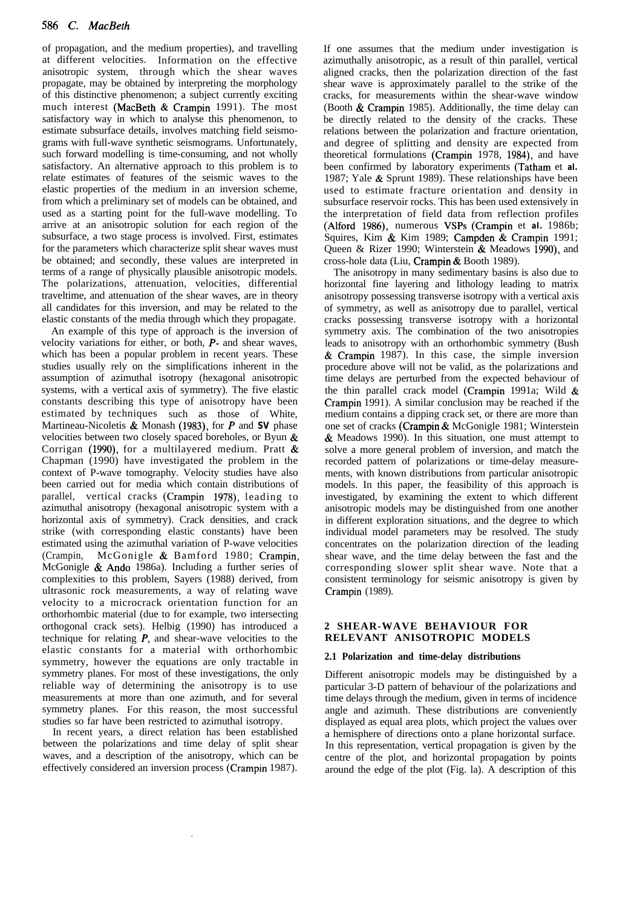of propagation, and the medium properties), and travelling at different velocities. Information on the effective anisotropic system, through which the shear waves propagate, may be obtained by interpreting the morphology of this distinctive phenomenon; a subject currently exciting much interest (MacBeth & Crampin 1991). The most satisfactory way in which to analyse this phenomenon, to estimate subsurface details, involves matching field seismograms with full-wave synthetic seismograms. Unfortunately, such forward modelling is time-consuming, and not wholly satisfactory. An alternative approach to this problem is to relate estimates of features of the seismic waves to the elastic properties of the medium in an inversion scheme, from which a preliminary set of models can be obtained, and used as a starting point for the full-wave modelling. To arrive at an anisotropic solution for each region of the subsurface, a two stage process is involved. First, estimates for the parameters which characterize split shear waves must be obtained; and secondly, these values are interpreted in terms of a range of physically plausible anisotropic models. The polarizations, attenuation, velocities, differential traveltime, and attenuation of the shear waves, are in theory all candidates for this inversion, and may be related to the elastic constants of the media through which they propagate.

An example of this type of approach is the inversion of velocity variations for either, or both, P- and shear waves, which has been a popular problem in recent years. These studies usually rely on the simplifications inherent in the assumption of azimuthal isotropy (hexagonal anisotropic systems, with a vertical axis of symmetry). The five elastic constants describing this type of anisotropy have been estimated by techniques such as those of White, Martineau-Nicoletis & Monash (1983), for P and *SV* phase velocities between two closely spaced boreholes, or Byun & Corrigan (1990), for a multilayered medium. Pratt & Chapman (1990) have investigated the problem in the context of P-wave tomography. Velocity studies have also been carried out for media which contain distributions of parallel, vertical cracks (Crampin 1978), leading to azimuthal anisotropy (hexagonal anisotropic system with a horizontal axis of symmetry). Crack densities, and crack strike (with corresponding elastic constants) have been estimated using the azimuthal variation of P-wave velocities (Crampin, McGonigle & Bamford 1980; Crampin, McGonigle & Ando 1986a). Including a further series of complexities to this problem, Sayers (1988) derived, from ultrasonic rock measurements, a way of relating wave velocity to a microcrack orientation function for an orthorhombic material (due to for example, two intersecting orthogonal crack sets). Helbig (1990) has introduced a technique for relating  $P$ , and shear-wave velocities to the elastic constants for a material with orthorhombic symmetry, however the equations are only tractable in symmetry planes. For most of these investigations, the only reliable way of determining the anisotropy is to use measurements at more than one azimuth, and for several symmetry planes. For this reason, the most successful studies so far have been restricted to azimuthal isotropy.

In recent years, a direct relation has been established between the polarizations and time delay of split shear waves, and a description of the anisotropy, which can be effectively considered an inversion process (Crampin 1987).

If one assumes that the medium under investigation is azimuthally anisotropic, as a result of thin parallel, vertical aligned cracks, then the polarization direction of the fast shear wave is approximately parallel to the strike of the cracks, for measurements within the shear-wave window (Booth & Crampin 1985). Additionally, the time delay can be directly related to the density of the cracks. These relations between the polarization and fracture orientation, and degree of splitting and density are expected from theoretical formulations (Crampin 1978, 1984), and have been confirmed by laboratory experiments (Tatham et *al.* 1987; Yale & Sprunt 1989). These relationships have been used to estimate fracture orientation and density in subsurface reservoir rocks. This has been used extensively in the interpretation of field data from reflection profiles (Alford 1986)) numerous VSPs (Crampin et *al.* 1986b; Squires, Kim & Kim 1989; Campden & Crampin 1991; Queen & Rizer 1990; Winterstein & Meadows 1990), and cross-hole data (Liu, Crampin & Booth 1989).

The anisotropy in many sedimentary basins is also due to horizontal fine layering and lithology leading to matrix anisotropy possessing transverse isotropy with a vertical axis of symmetry, as well as anisotropy due to parallel, vertical cracks possessing transverse isotropy with a horizontal symmetry axis. The combination of the two anisotropies leads to anisotropy with an orthorhombic symmetry (Bush & Crampin 1987). In this case, the simple inversion procedure above will not be valid, as the polarizations and time delays are perturbed from the expected behaviour of the thin parallel crack model (Crampin 1991a; Wild & Crampin 1991). A similar conclusion may be reached if the medium contains a dipping crack set, or there are more than one set of cracks (Crampin & McGonigle 1981; Winterstein & Meadows 1990). In this situation, one must attempt to solve a more general problem of inversion, and match the recorded pattern of polarizations or time-delay measurements, with known distributions from particular anisotropic models. In this paper, the feasibility of this approach is investigated, by examining the extent to which different anisotropic models may be distinguished from one another in different exploration situations, and the degree to which individual model parameters may be resolved. The study concentrates on the polarization direction of the leading shear wave, and the time delay between the fast and the corresponding slower split shear wave. Note that a consistent terminology for seismic anisotropy is given by Crampin (1989).

# **2 SHEAR-WAVE BEHAVIOUR FOR RELEVANT ANISOTROPIC MODELS**

# **2.1 Polarization and time-delay distributions**

Different anisotropic models may be distinguished by a particular 3-D pattern of behaviour of the polarizations and time delays through the medium, given in terms of incidence angle and azimuth. These distributions are conveniently displayed as equal area plots, which project the values over a hemisphere of directions onto a plane horizontal surface. In this representation, vertical propagation is given by the centre of the plot, and horizontal propagation by points around the edge of the plot (Fig. la). A description of this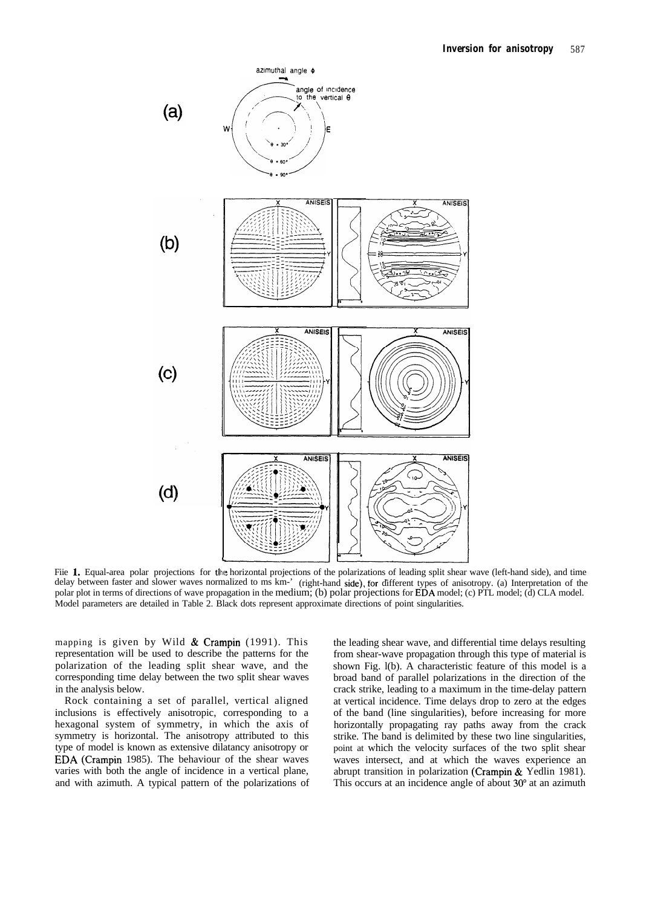

Fiie 1. Equal-area polar projections for the horizontal projections of the polarizations of leading split shear wave (left-hand side), and time<br>delay hetypen fester and clouse waves permelized to me km<sup>3</sup>. (sink hand side) delay between faster and slower waves normalized to ms km-' (right-hand **side),** for different types of anisotropy. (a) Interpretation of the polar plot in terms of directions of wave propagation in the medium; (b) polar projections for  $\vec{EDA}$  model; (c)  $\vec{PTL}$  model; (d) CLA model. Model parameters are detailed in Table 2. Black dots represent approximate directions of point singularities.

mapping is given by Wild & Crampin  $(1991)$ . This representation will be used to describe the patterns for the polarization of the leading split shear wave, and the corresponding time delay between the two split shear waves in the analysis below.

Rock containing a set of parallel, vertical aligned inclusions is effectively anisotropic, corresponding to a hexagonal system of symmetry, in which the axis of symmetry is horizontal. The anisotropy attributed to this type of model is known as extensive dilatancy anisotropy or EDA (Crampin 1985). The behaviour of the shear waves varies with both the angle of incidence in a vertical plane, and with azimuth. A typical pattern of the polarizations of the leading shear wave, and differential time delays resulting from shear-wave propagation through this type of material is shown Fig. l(b). A characteristic feature of this model is a broad band of parallel polarizations in the direction of the crack strike, leading to a maximum in the time-delay pattern at vertical incidence. Time delays drop to zero at the edges of the band (line singularities), before increasing for more horizontally propagating ray paths away from the crack strike. The band is delimited by these two line singularities, point at which the velocity surfaces of the two split shear waves intersect, and at which the waves experience an abrupt transition in polarization (Crampin & Yedlin 1981). This occurs at an incidence angle of about  $30^{\circ}$  at an azimuth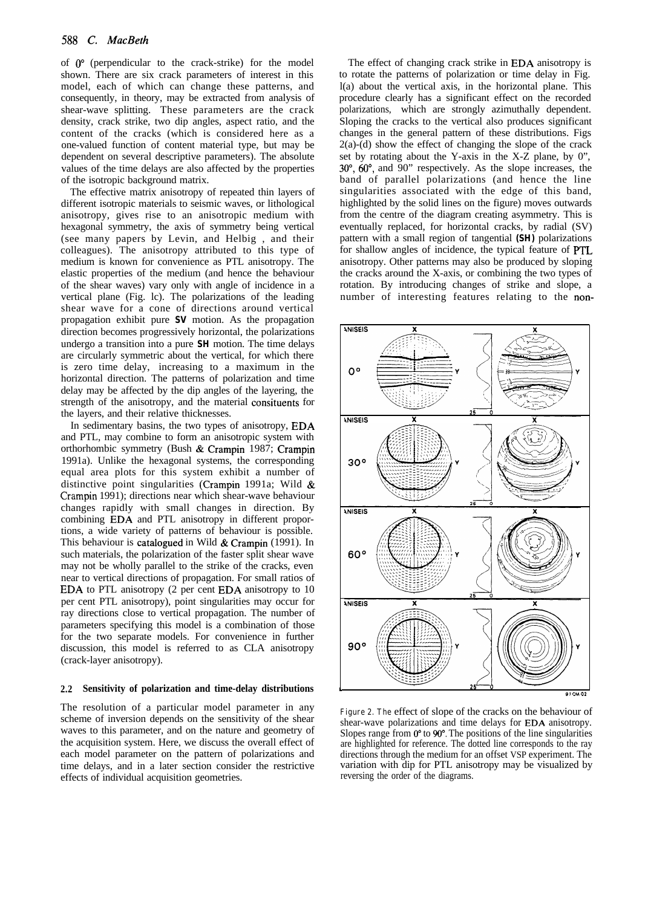of  $0^{\circ}$  (perpendicular to the crack-strike) for the model shown. There are six crack parameters of interest in this model, each of which can change these patterns, and consequently, in theory, may be extracted from analysis of shear-wave splitting. These parameters are the crack density, crack strike, two dip angles, aspect ratio, and the content of the cracks (which is considered here as a one-valued function of content material type, but may be dependent on several descriptive parameters). The absolute values of the time delays are also affected by the properties of the isotropic background matrix.

The effective matrix anisotropy of repeated thin layers of different isotropic materials to seismic waves, or lithological anisotropy, gives rise to an anisotropic medium with hexagonal symmetry, the axis of symmetry being vertical (see many papers by Levin, and Helbig , and their colleagues). The anisotropy attributed to this type of medium is known for convenience as PTL anisotropy. The elastic properties of the medium (and hence the behaviour of the shear waves) vary only with angle of incidence in a vertical plane (Fig. lc). The polarizations of the leading shear wave for a cone of directions around vertical propagation exhibit pure *SV* motion. As the propagation direction becomes progressively horizontal, the polarizations undergo a transition into a pure *SH* motion. The time delays are circularly symmetric about the vertical, for which there is zero time delay, increasing to a maximum in the horizontal direction. The patterns of polarization and time delay may be affected by the dip angles of the layering, the strength of the anisotropy, and the material consituents for the layers, and their relative thicknesses.

In sedimentary basins, the two types of anisotropy, EDA and PTL, may combine to form an anisotropic system with orthorhombic symmetry (Bush & Crampin 1987; Crampin 1991a). Unlike the hexagonal systems, the corresponding equal area plots for this system exhibit a number of distinctive point singularities (Crampin 1991a; Wild & Crampin 1991); directions near which shear-wave behaviour changes rapidly with small changes in direction. By combining EDA and PTL anisotropy in different proportions, a wide variety of patterns of behaviour is possible. This behaviour is catalogued in Wild  $&$  Crampin (1991). In such materials, the polarization of the faster split shear wave may not be wholly parallel to the strike of the cracks, even near to vertical directions of propagation. For small ratios of EDA to PTL anisotropy (2 per cent EDA anisotropy to 10 per cent PTL anisotropy), point singularities may occur for ray directions close to vertical propagation. The number of parameters specifying this model is a combination of those for the two separate models. For convenience in further discussion, this model is referred to as CLA anisotropy (crack-layer anisotropy).

#### **2.2 Sensitivity of polarization and time-delay distributions**

The resolution of a particular model parameter in any scheme of inversion depends on the sensitivity of the shear waves to this parameter, and on the nature and geometry of the acquisition system. Here, we discuss the overall effect of each model parameter on the pattern of polarizations and time delays, and in a later section consider the restrictive effects of individual acquisition geometries.

The effect of changing crack strike in EDA anisotropy is to rotate the patterns of polarization or time delay in Fig. l(a) about the vertical axis, in the horizontal plane. This procedure clearly has a significant effect on the recorded polarizations, which are strongly azimuthally dependent. Sloping the cracks to the vertical also produces significant changes in the general pattern of these distributions. Figs  $2(a)$ -(d) show the effect of changing the slope of the crack set by rotating about the Y-axis in the X-Z plane, by 0", 30", 60", and 90" respectively. As the slope increases, the band of parallel polarizations (and hence the line singularities associated with the edge of this band, highlighted by the solid lines on the figure) moves outwards from the centre of the diagram creating asymmetry. This is eventually replaced, for horizontal cracks, by radial (SV) pattern with a small region of tangential *(SH)* polarizations for shallow angles of incidence, the typical feature of PTL anisotropy. Other patterns may also be produced by sloping the cracks around the X-axis, or combining the two types of rotation. By introducing changes of strike and slope, a number of interesting features relating to the non-



**Figure 2. The** effect of slope of the cracks on the behaviour of shear-wave polarizations and time delays for EDA anisotropy. Slopes range from  $0^\circ$  to  $90^\circ$ . The positions of the line singularities are highlighted for reference. The dotted line corresponds to the ray directions through the medium for an offset VSP experiment. The variation with dip for PTL anisotropy may be visualized by reversing the order of the diagrams.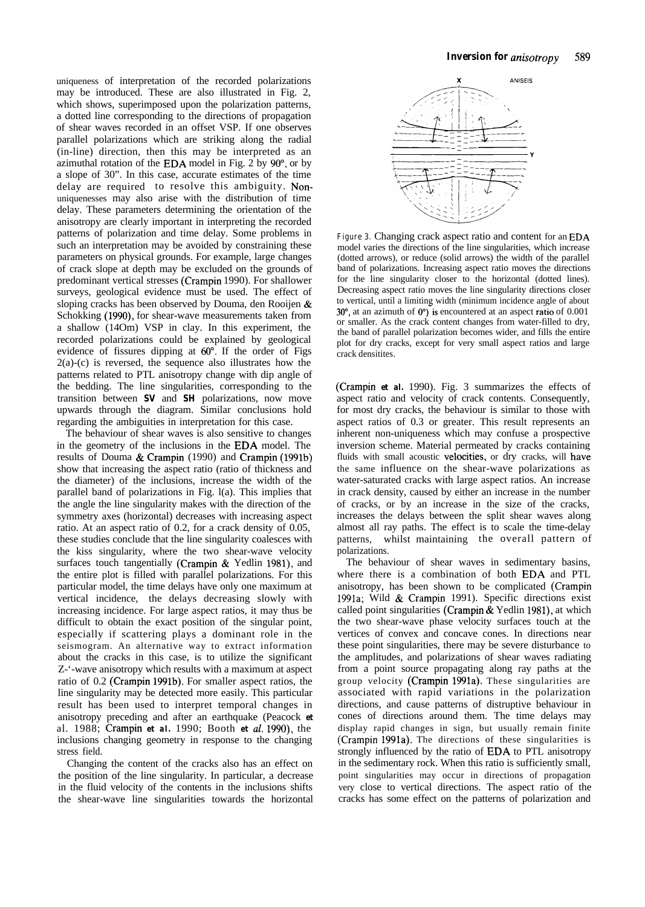uniqueness of interpretation of the recorded polarizations may be introduced. These are also illustrated in Fig. 2, which shows, superimposed upon the polarization patterns, a dotted line corresponding to the directions of propagation of shear waves recorded in an offset VSP. If one observes parallel polarizations which are striking along the radial (in-line) direction, then this may be interpreted as an azimuthal rotation of the EDA model in Fig. 2 by 90", or by a slope of 30". In this case, accurate estimates of the time delay are required to resolve this ambiguity. Nonuniquenesses may also arise with the distribution of time delay. These parameters determining the orientation of the anisotropy are clearly important in interpreting the recorded patterns of polarization and time delay. Some problems in such an interpretation may be avoided by constraining these parameters on physical grounds. For example, large changes of crack slope at depth may be excluded on the grounds of predominant vertical stresses (Crampin 1990). For shallower surveys, geological evidence must be used. The effect of sloping cracks has been observed by Douma, den Rooijen & Schokking (1990), for shear-wave measurements taken from a shallow (14Om) VSP in clay. In this experiment, the recorded polarizations could be explained by geological evidence of fissures dipping at  $60^\circ$ . If the order of Figs  $2(a)-(c)$  is reversed, the sequence also illustrates how the patterns related to PTL anisotropy change with dip angle of the bedding. The line singularities, corresponding to the transition between *SV* and *SH* polarizations, now move upwards through the diagram. Similar conclusions hold regarding the ambiguities in interpretation for this case.

The behaviour of shear waves is also sensitive to changes in the geometry of the inclusions in the EDA model. The results of Douma & Crampin (1990) and Crampin (1991b) show that increasing the aspect ratio (ratio of thickness and the diameter) of the inclusions, increase the width of the parallel band of polarizations in Fig. l(a). This implies that the angle the line singularity makes with the direction of the symmetry axes (horizontal) decreases with increasing aspect ratio. At an aspect ratio of 0.2, for a crack density of 0.05, these studies conclude that the line singularity coalesces with the kiss singularity, where the two shear-wave velocity surfaces touch tangentially (Crampin & Yedlin 1981), and the entire plot is filled with parallel polarizations. For this particular model, the time delays have only one maximum at vertical incidence, the delays decreasing slowly with increasing incidence. For large aspect ratios, it may thus be difficult to obtain the exact position of the singular point, especially if scattering plays a dominant role in the seismogram. An alternative way to extract information about the cracks in this case, is to utilize the significant Z-'-wave anisotropy which results with a maximum at aspect ratio of 0.2 (Crampin 1991b). For smaller aspect ratios, the line singularity may be detected more easily. This particular result has been used to interpret temporal changes in anisotropy preceding and after an earthquake (Peacock *et* al. 1988; Crampin *et al.* 1990; Booth *et al.* 1990), the inclusions changing geometry in response to the changing stress field.

Changing the content of the cracks also has an effect on the position of the line singularity. In particular, a decrease in the fluid velocity of the contents in the inclusions shifts the shear-wave line singularities towards the horizontal



**Figure 3.** Changing crack aspect ratio and content for an EDA model varies the directions of the line singularities, which increase (dotted arrows), or reduce (solid arrows) the width of the parallel band of polarizations. Increasing aspect ratio moves the directions for the line singularity closer to the horizontal (dotted lines). Decreasing aspect ratio moves the line singularity directions closer to vertical, until a limiting width (minimum incidence angle of about  $30^{\circ}$ , at an azimuth of  $0^{\circ}$ ) is encountered at an aspect ratio of 0.001 or smaller. As the crack content changes from water-filled to dry, the band of parallel polarization becomes wider, and fills the entire plot for dry cracks, except for very small aspect ratios and large crack densitites.

(Crampin *et al.* 1990). Fig. 3 summarizes the effects of aspect ratio and velocity of crack contents. Consequently, for most dry cracks, the behaviour is similar to those with aspect ratios of 0.3 or greater. This result represents an inherent non-uniqueness which may confuse a prospective inversion scheme. Material permeated by cracks containing fluids with small acoustic velocities, or dry cracks, will have the same influence on the shear-wave polarizations as water-saturated cracks with large aspect ratios. An increase in crack density, caused by either an increase in the number of cracks, or by an increase in the size of the cracks, increases the delays between the split shear waves along almost all ray paths. The effect is to scale the time-delay patterns, whilst maintaining the overall pattern of polarizations.

The behaviour of shear waves in sedimentary basins, where there is a combination of both EDA and PTL anisotropy, has been shown to be complicated (Crampin 1991a; Wild & Crampin 1991). Specific directions exist called point singularities (Crampin & Yedlin 1981), at which the two shear-wave phase velocity surfaces touch at the vertices of convex and concave cones. In directions near these point singularities, there may be severe disturbance to the amplitudes, and polarizations of shear waves radiating from a point source propagating along ray paths at the group velocity (Crampin 1991a). These singularities are associated with rapid variations in the polarization directions, and cause patterns of distruptive behaviour in cones of directions around them. The time delays may display rapid changes in sign, but usually remain finite (Crampin 1991a). The directions of these singularities is strongly influenced by the ratio of EDA to PTL anisotropy in the sedimentary rock. When this ratio is sufficiently small, point singularities may occur in directions of propagation very close to vertical directions. The aspect ratio of the cracks has some effect on the patterns of polarization and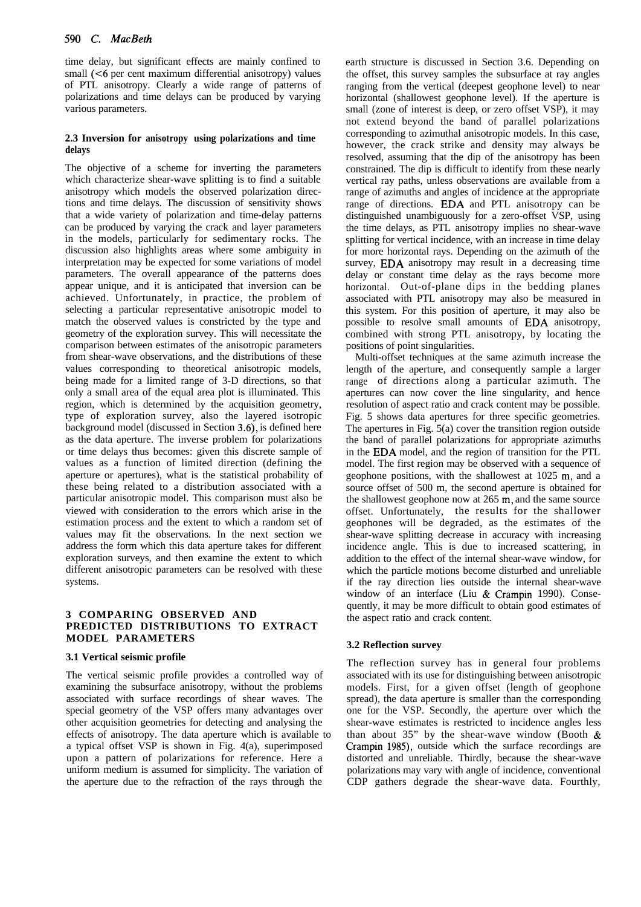time delay, but significant effects are mainly confined to small (<6 per cent maximum differential anisotropy) values of PTL anisotropy. Clearly a wide range of patterns of polarizations and time delays can be produced by varying various parameters.

# **2.3 Inversion for anisotropy using polarizations and time delays**

The objective of a scheme for inverting the parameters which characterize shear-wave splitting is to find a suitable anisotropy which models the observed polarization directions and time delays. The discussion of sensitivity shows that a wide variety of polarization and time-delay patterns can be produced by varying the crack and layer parameters in the models, particularly for sedimentary rocks. The discussion also highlights areas where some ambiguity in interpretation may be expected for some variations of model parameters. The overall appearance of the patterns does appear unique, and it is anticipated that inversion can be achieved. Unfortunately, in practice, the problem of selecting a particular representative anisotropic model to match the observed values is constricted by the type and geometry of the exploration survey. This will necessitate the comparison between estimates of the anisotropic parameters from shear-wave observations, and the distributions of these values corresponding to theoretical anisotropic models, being made for a limited range of 3-D directions, so that only a small area of the equal area plot is illuminated. This region, which is determined by the acquisition geometry, type of exploration survey, also the layered isotropic background model (discussed in Section 3.6), is defined here as the data aperture. The inverse problem for polarizations or time delays thus becomes: given this discrete sample of values as a function of limited direction (defining the aperture or apertures), what is the statistical probability of these being related to a distribution associated with a particular anisotropic model. This comparison must also be viewed with consideration to the errors which arise in the estimation process and the extent to which a random set of values may fit the observations. In the next section we address the form which this data aperture takes for different exploration surveys, and then examine the extent to which different anisotropic parameters can be resolved with these systems.

# **3 COMPARING OBSERVED AND PREDICTED DISTRIBUTIONS TO EXTRACT MODEL PARAMETERS**

## **3.1 Vertical seismic profile**

The vertical seismic profile provides a controlled way of examining the subsurface anisotropy, without the problems associated with surface recordings of shear waves. The special geometry of the VSP offers many advantages over other acquisition geometries for detecting and analysing the effects of anisotropy. The data aperture which is available to a typical offset VSP is shown in Fig. 4(a), superimposed upon a pattern of polarizations for reference. Here a uniform medium is assumed for simplicity. The variation of the aperture due to the refraction of the rays through the

earth structure is discussed in Section 3.6. Depending on the offset, this survey samples the subsurface at ray angles ranging from the vertical (deepest geophone level) to near horizontal (shallowest geophone level). If the aperture is small (zone of interest is deep, or zero offset VSP), it may not extend beyond the band of parallel polarizations corresponding to azimuthal anisotropic models. In this case, however, the crack strike and density may always be resolved, assuming that the dip of the anisotropy has been constrained. The dip is difficult to identify from these nearly vertical ray paths, unless observations are available from a range of azimuths and angles of incidence at the appropriate range of directions. EDA and PTL anisotropy can be distinguished unambiguously for a zero-offset VSP, using the time delays, as PTL anisotropy implies no shear-wave splitting for vertical incidence, with an increase in time delay for more horizontal rays. Depending on the azimuth of the survey, **EDA** anisotropy may result in a decreasing time delay or constant time delay as the rays become more horizontal. Out-of-plane dips in the bedding planes associated with PTL anisotropy may also be measured in this system. For this position of aperture, it may also be possible to resolve small amounts of EDA anisotropy, combined with strong PTL anisotropy, by locating the positions of point singularities.

Multi-offset techniques at the same azimuth increase the length of the aperture, and consequently sample a larger range of directions along a particular azimuth. The apertures can now cover the line singularity, and hence resolution of aspect ratio and crack content may be possible. Fig. 5 shows data apertures for three specific geometries. The apertures in Fig. 5(a) cover the transition region outside the band of parallel polarizations for appropriate azimuths in the EDA model, and the region of transition for the PTL model. The first region may be observed with a sequence of geophone positions, with the shallowest at 1025 m, and a source offset of 500 m, the second aperture is obtained for the shallowest geophone now at 265 m, and the same source offset. Unfortunately, the results for the shallower geophones will be degraded, as the estimates of the shear-wave splitting decrease in accuracy with increasing incidence angle. This is due to increased scattering, in addition to the effect of the internal shear-wave window, for which the particle motions become disturbed and unreliable if the ray direction lies outside the internal shear-wave window of an interface (Liu & Crampin 1990). Consequently, it may be more difficult to obtain good estimates of the aspect ratio and crack content.

## **3.2 Reflection survey**

The reflection survey has in general four problems associated with its use for distinguishing between anisotropic models. First, for a given offset (length of geophone spread), the data aperture is smaller than the corresponding one for the VSP. Secondly, the aperture over which the shear-wave estimates is restricted to incidence angles less than about 35" by the shear-wave window (Booth  $\&$ Crampin 1985), outside which the surface recordings are distorted and unreliable. Thirdly, because the shear-wave polarizations may vary with angle of incidence, conventional CDP gathers degrade the shear-wave data. Fourthly,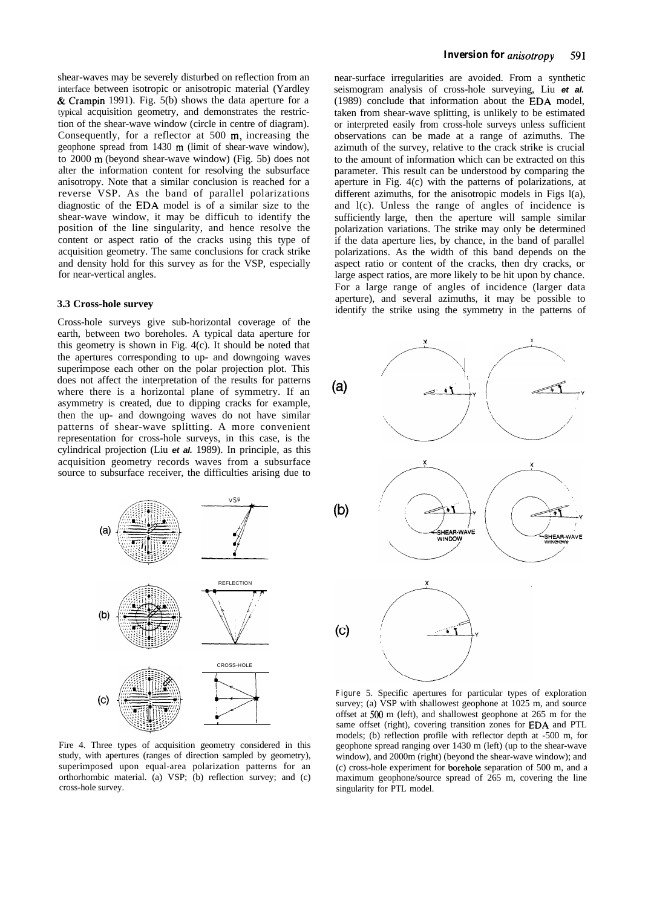shear-waves may be severely disturbed on reflection from an interface between isotropic or anisotropic material (Yardley & Crampin 1991). Fig. 5(b) shows the data aperture for a typical acquisition geometry, and demonstrates the restriction of the shear-wave window (circle in centre of diagram). Consequently, for a reflector at 500 m, increasing the geophone spread from 1430 m (limit of shear-wave window), to 2000 m (beyond shear-wave window) (Fig. 5b) does not alter the information content for resolving the subsurface anisotropy. Note that a similar conclusion is reached for a reverse VSP. As the band of parallel polarizations diagnostic of the EDA model is of a similar size to the shear-wave window, it may be difficuh to identify the position of the line singularity, and hence resolve the content or aspect ratio of the cracks using this type of acquisition geometry. The same conclusions for crack strike and density hold for this survey as for the VSP, especially for near-vertical angles.

#### **3.3 Cross-hole survey**

Cross-hole surveys give sub-horizontal coverage of the earth, between two boreholes. A typical data aperture for this geometry is shown in Fig. 4(c). It should be noted that the apertures corresponding to up- and downgoing waves superimpose each other on the polar projection plot. This does not affect the interpretation of the results for patterns where there is a horizontal plane of symmetry. If an asymmetry is created, due to dipping cracks for example, then the up- and downgoing waves do not have similar patterns of shear-wave splitting. A more convenient representation for cross-hole surveys, in this case, is the cylindrical projection (Liu *et al.* 1989). In principle, as this acquisition geometry records waves from a subsurface source to subsurface receiver, the difficulties arising due to



Fire 4. Three types of acquisition geometry considered in this study, with apertures (ranges of direction sampled by geometry), superimposed upon equal-area polarization patterns for an orthorhombic material. (a) VSP; (b) reflection survey; and (c) cross-hole survey.

near-surface irregularities are avoided. From a synthetic seismogram analysis of cross-hole surveying, Liu *et al.* (1989) conclude that information about the EDA model, taken from shear-wave splitting, is unlikely to be estimated or interpreted easily from cross-hole surveys unless sufficient observations can be made at a range of azimuths. The azimuth of the survey, relative to the crack strike is crucial to the amount of information which can be extracted on this parameter. This result can be understood by comparing the aperture in Fig. 4(c) with the patterns of polarizations, at different azimuths, for the anisotropic models in Figs l(a), and l(c). Unless the range of angles of incidence is sufficiently large, then the aperture will sample similar polarization variations. The strike may only be determined if the data aperture lies, by chance, in the band of parallel polarizations. As the width of this band depends on the aspect ratio or content of the cracks, then dry cracks, or large aspect ratios, are more likely to be hit upon by chance. For a large range of angles of incidence (larger data aperture), and several azimuths, it may be possible to identify the strike using the symmetry in the patterns of



**Figure** 5. Specific apertures for particular types of exploration survey; (a) VSP with shallowest geophone at 1025 m, and source offset at 500 m (left), and shallowest geophone at 265 m for the same offset (right), covering transition zones for EDA and PTL models; (b) reflection profile with reflector depth at -500 m, for geophone spread ranging over 1430 m (left) (up to the shear-wave window), and 2000m (right) (beyond the shear-wave window); and (c) cross-hole experiment for borehole separation of 500 m, and a maximum geophone/source spread of 265 m, covering the line singularity for PTL model.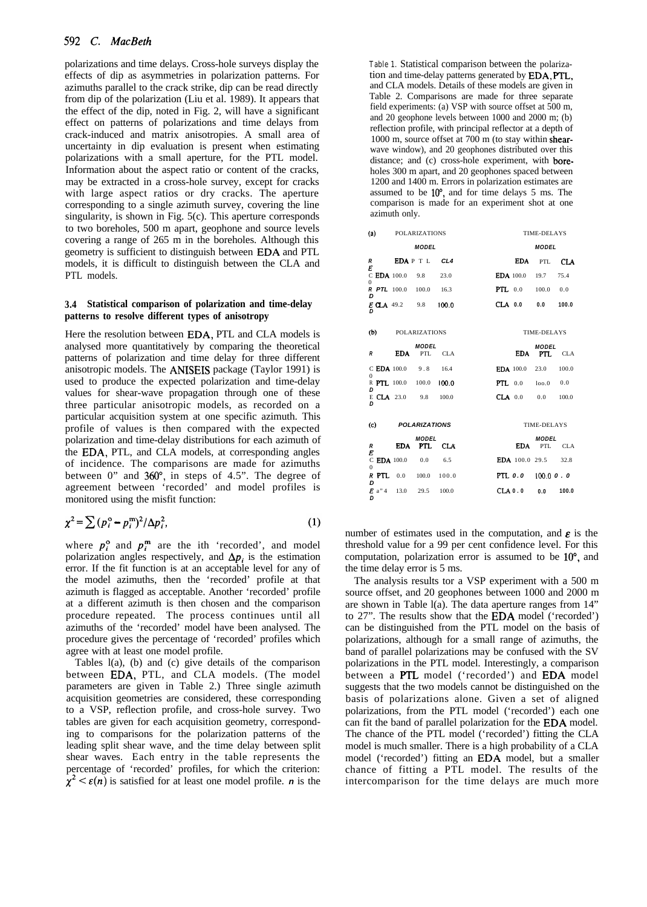# *592 C. MacBeth*

polarizations and time delays. Cross-hole surveys display the effects of dip as asymmetries in polarization patterns. For azimuths parallel to the crack strike, dip can be read directly from dip of the polarization (Liu et al. 1989). It appears that the effect of the dip, noted in Fig. 2, will have a significant effect on patterns of polarizations and time delays from crack-induced and matrix anisotropies. A small area of uncertainty in dip evaluation is present when estimating polarizations with a small aperture, for the PTL model. Information about the aspect ratio or content of the cracks, may be extracted in a cross-hole survey, except for cracks with large aspect ratios or dry cracks. The aperture corresponding to a single azimuth survey, covering the line singularity, is shown in Fig. 5(c). This aperture corresponds to two boreholes, 500 m apart, geophone and source levels covering a range of 265 m in the boreholes. Although this geometry is sufficient to distinguish between EDA and PTL models, it is difficult to distinguish between the CLA and PTL models.

#### **3.4 Statistical comparison of polarization and time-delay patterns to resolve different types of anisotropy**

Here the resolution between EDA, PTL and CLA models is analysed more quantitatively by comparing the theoretical patterns of polarization and time delay for three different anisotropic models. The ANISEIS package (Taylor 1991) is used to produce the expected polarization and time-delay values for shear-wave propagation through one of these three particular anisotropic models, as recorded on a particular acquisition system at one specific azimuth. This profile of values is then compared with the expected polarization and time-delay distributions for each azimuth of the EDA, PTL, and CLA models, at corresponding angles of incidence. The comparisons are made for azimuths between 0" and 360°, in steps of 4.5". The degree of agreement between 'recorded' and model profiles is monitored using the misfit function:

$$
\chi^2 = \sum (p_i^{\rm o} - p_i^{\rm m})^2 / \Delta p_i^2, \tag{1}
$$

where  $p_i^{\circ}$  and  $p_i^{\mathsf{m}}$  are the ith 'recorded', and model polarization angles respectively, and  $\Delta p_i$  is the estimation error. If the fit function is at an acceptable level for any of the model azimuths, then the 'recorded' profile at that azimuth is flagged as acceptable. Another 'recorded' profile at a different azimuth is then chosen and the comparison procedure repeated. The process continues until all azimuths of the 'recorded' model have been analysed. The procedure gives the percentage of 'recorded' profiles which agree with at least one model profile.

Tables l(a), (b) and (c) give details of the comparison between EDA, PTL, and CLA models. (The model parameters are given in Table 2.) Three single azimuth acquisition geometries are considered, these corresponding to a VSP, reflection profile, and cross-hole survey. Two tables are given for each acquisition geometry, corresponding to comparisons for the polarization patterns of the leading split shear wave, and the time delay between split shear waves. Each entry in the table represents the percentage of 'recorded' profiles, for which the criterion:  $\chi^2 < \varepsilon(n)$  is satisfied for at least one model profile. *n* is the **Table 1.** Statistical comparison between the polarization and time-delay patterns generated by EDA, PTL, and CLA models. Details of these models are given in Table 2. Comparisons are made for three separate field experiments: (a) VSP with source offset at 500 m, and 20 geophone levels between 1000 and 2000 m; (b) reflection profile, with principal reflector at a depth of 1000 m, source offset at 700 m (to stay within shearwave window), and 20 geophones distributed over this distance; and (c) cross-hole experiment, with boreholes 300 m apart, and 20 geophones spaced between 1200 and 1400 m. Errors in polarization estimates are assumed to be  $10^{\circ}$ , and for time delays 5 ms. The comparison is made for an experiment shot at one azimuth only.

| (a)<br><b>POLARIZATIONS</b>     |                  |                            |             | <b>TIME-DELAYS</b> |                              |            |  |
|---------------------------------|------------------|----------------------------|-------------|--------------------|------------------------------|------------|--|
| <b>MODEL</b>                    |                  |                            |             | <b>MODEL</b>       |                              |            |  |
| R<br>E                          | <b>EDA</b> P T L |                            | CL4         | <b>EDA</b>         | <b>PTL</b>                   | <b>CLA</b> |  |
| C EDA 100.0<br>$\mathbf{0}$     |                  | 9.8                        | 23.0        | <b>EDA</b> 100.0   | 19.7                         | 75.4       |  |
| <b>R PTL</b> 100.0<br>D         |                  | 100.0                      | 16.3        | PTL $0.0$          | 100.0                        | 0.0        |  |
| <b>E CLA</b> 49.2<br>D          |                  | 9.8                        | 100.0       | $CLA$ 0.0          | 0.0                          | 100.0      |  |
| (b)<br><b>POLARIZATIONS</b>     |                  |                            | TIME-DELAYS |                    |                              |            |  |
| R                               | EDA              | <b>MODEL</b><br><b>PTL</b> | <b>CLA</b>  | <b>EDA</b>         | <b>MODEL</b><br>PTL          | <b>CLA</b> |  |
| $C$ EDA $100.0$<br>$\mathbf{0}$ |                  | 9.8                        | 16.4        | <b>EDA</b> 100.0   | 23.0                         | 100.0      |  |
| R PTL 100.0<br>D                |                  | 100.0                      | 100.0       | PTL $0.0$          | 100.0                        | 0.0        |  |
| E CLA 23.0<br>D                 |                  | 9.8                        | 100.0       | $CLA$ 0.0          | 0.0                          | 100.0      |  |
| (c)<br><b>POLARIZATIONS</b>     |                  |                            | TIME-DELAYS |                    |                              |            |  |
| R<br>E                          | <b>EDA</b>       | <b>MODEL</b><br>PTL        | <b>CLA</b>  | EDA.               | <b>MODEL</b><br>PTL          | <b>CLA</b> |  |
| $C$ EDA $100.0$<br>0            |                  | 0.0                        | 6.5         |                    | <b>EDA</b> 100.0 29.5        | 32.8       |  |
| <b>R PTL</b> 0.0                |                  | 100.0                      | 100.0       | PTL 0.0            | $100.0 \text{ o}$ . $\sigma$ |            |  |
| D<br>$E$ a"4<br>D               | 13.0             | 29.5                       | 100.0       | CLA 0.0            | 0.0                          | 100.0      |  |

number of estimates used in the computation, and  $\varepsilon$  is the threshold value for a 99 per cent confidence level. For this computation, polarization error is assumed to be  $10^{\circ}$ , and the time delay error is 5 ms.

The analysis results tor a VSP experiment with a 500 m source offset, and 20 geophones between 1000 and 2000 m are shown in Table l(a). The data aperture ranges from 14" to 27". The results show that the EDA model ('recorded') can be distinguished from the PTL model on the basis of polarizations, although for a small range of azimuths, the band of parallel polarizations may be confused with the SV polarizations in the PTL model. Interestingly, a comparison between a PTL model ('recorded') and EDA model suggests that the two models cannot be distinguished on the basis of polarizations alone. Given a set of aligned polarizations, from the PTL model ('recorded') each one can fit the band of parallel polarization for the EDA model. The chance of the PTL model ('recorded') fitting the CLA model is much smaller. There is a high probability of a CLA model ('recorded') fitting an EDA model, but a smaller chance of fitting a PTL model. The results of the intercomparison for the time delays are much more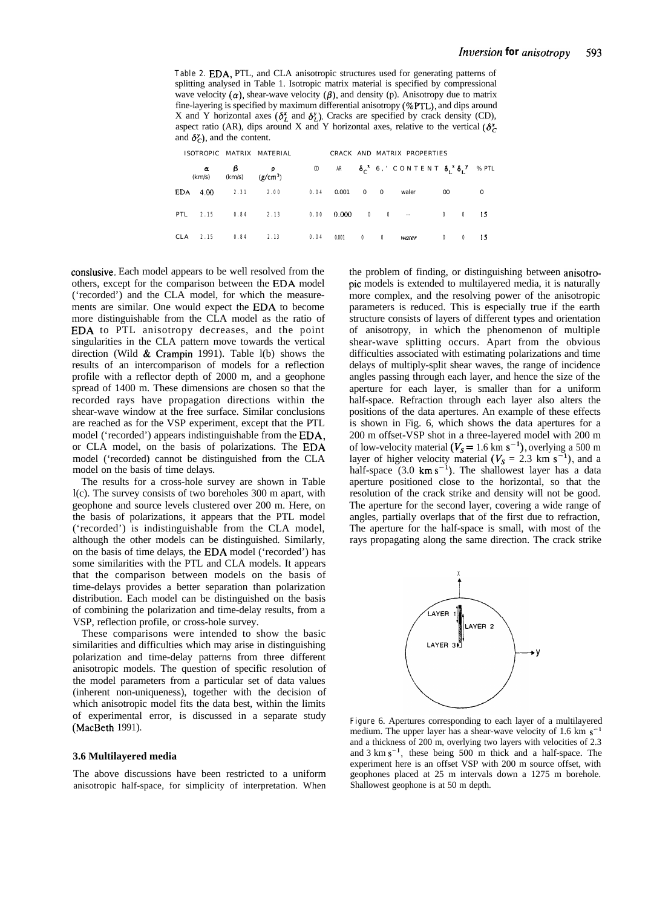**Table 2.** EDA, PTL, and CLA anisotropic structures used for generating patterns of splitting analysed in Table 1. Isotropic matrix material is specified by compressional wave velocity  $(\alpha)$ , shear-wave velocity  $(\beta)$ , and density (p). Anisotropy due to matrix fine-layering is specified by maximum differential anisotropy (%PTL), and dips around X and Y horizontal axes ( $\delta_L^x$  and  $\delta_L^y$ ). Cracks are specified by crack density (CD), aspect ratio (AR), dips around X and Y horizontal axes, relative to the vertical ( $\delta_c^x$ ) and  $\delta_C^{\nu}$ , and the content.

|       |             |                         | ISOTROPIC MATRIX MATERIAL |      |                  |          |   | CRACK AND MATRIX PROPERTIES                                      |          |                      |      |
|-------|-------------|-------------------------|---------------------------|------|------------------|----------|---|------------------------------------------------------------------|----------|----------------------|------|
|       | α<br>(km/s) | β<br>$(km/s)$ $(g/cm3)$ | ρ                         | CD   |                  |          |   | AR $\delta_{C}^X$ 6, CONTENT $\delta_{C}^X$ $\delta_{C}^Y$ % PTL |          |                      |      |
| EDA - | -4.00       |                         | 2.31 2.00                 |      | $0.04$ 0.001 0 0 |          |   | waler                                                            | 00       |                      | 0    |
| PTI.  | 2.15        | $0.84$ 2.13             |                           |      |                  |          |   | $0.00 \t 0.000 \t 0 \t 0$                                        |          | $\theta$<br>$\theta$ | - 15 |
|       | $CI.A$ 2.15 | 0.84                    | 2.13                      | 0.04 | 0.001            | $\theta$ | 0 | water                                                            | $\theta$ | $\theta$             | -15  |

conslusive. Each model appears to be well resolved from the others, except for the comparison between the EDA model ('recorded') and the CLA model, for which the measurements are similar. One would expect the EDA to become more distinguishable from the CLA model as the ratio of EDA to PTL anisotropy decreases, and the point singularities in the CLA pattern move towards the vertical direction (Wild  $&$  Crampin 1991). Table 1(b) shows the results of an intercomparison of models for a reflection profile with a reflector depth of 2000 m, and a geophone spread of 1400 m. These dimensions are chosen so that the recorded rays have propagation directions within the shear-wave window at the free surface. Similar conclusions are reached as for the VSP experiment, except that the PTL model ('recorded') appears indistinguishable from the EDA, or CLA model, on the basis of polarizations. The EDA model ('recorded) cannot be distinguished from the CLA model on the basis of time delays.

The results for a cross-hole survey are shown in Table l(c). The survey consists of two boreholes 300 m apart, with geophone and source levels clustered over 200 m. Here, on the basis of polarizations, it appears that the PTL model ('recorded') is indistinguishable from the CLA model, although the other models can be distinguished. Similarly, on the basis of time delays, the EDA model ('recorded') has some similarities with the PTL and CLA models. It appears that the comparison between models on the basis of time-delays provides a better separation than polarization distribution. Each model can be distinguished on the basis of combining the polarization and time-delay results, from a VSP, reflection profile, or cross-hole survey.

These comparisons were intended to show the basic similarities and difficulties which may arise in distinguishing polarization and time-delay patterns from three different anisotropic models. The question of specific resolution of the model parameters from a particular set of data values (inherent non-uniqueness), together with the decision of which anisotropic model fits the data best, within the limits of experimental error, is discussed in a separate study (MacBeth 1991).

#### **3.6 Multilayered media**

The above discussions have been restricted to a uniform anisotropic half-space, for simplicity of interpretation. When

the problem of finding, or distinguishing between anisotropic models is extended to multilayered media, it is naturally more complex, and the resolving power of the anisotropic parameters is reduced. This is especially true if the earth structure consists of layers of different types and orientation of anisotropy, in which the phenomenon of multiple shear-wave splitting occurs. Apart from the obvious difficulties associated with estimating polarizations and time delays of multiply-split shear waves, the range of incidence angles passing through each layer, and hence the size of the aperture for each layer, is smaller than for a uniform half-space. Refraction through each layer also alters the positions of the data apertures. An example of these effects is shown in Fig. 6, which shows the data apertures for a 200 m offset-VSP shot in a three-layered model with 200 m of low-velocity material  $(V_s = 1.6 \text{ km s}^{-1})$ , overlying a 500 m layer of higher velocity material  $(V_s = 2.3 \text{ km s}^{-1})$ , and a half-space  $(3.0 \text{ km s}^{-1})$ . The shallowest layer has a data aperture positioned close to the horizontal, so that the resolution of the crack strike and density will not be good. The aperture for the second layer, covering a wide range of angles, partially overlaps that of the first due to refraction, The aperture for the half-space is small, with most of the rays propagating along the same direction. The crack strike



**Figure** 6. Apertures corresponding to each layer of a multilayered medium. The upper layer has a shear-wave velocity of 1.6 km  $s^{-1}$ and a thickness of 200 m, overlying two layers with velocities of 2.3 and  $3 \text{ km s}^{-1}$ , these being  $500 \text{ m}$  thick and a half-space. The experiment here is an offset VSP with 200 m source offset, with geophones placed at 25 m intervals down a 1275 m borehole. Shallowest geophone is at 50 m depth.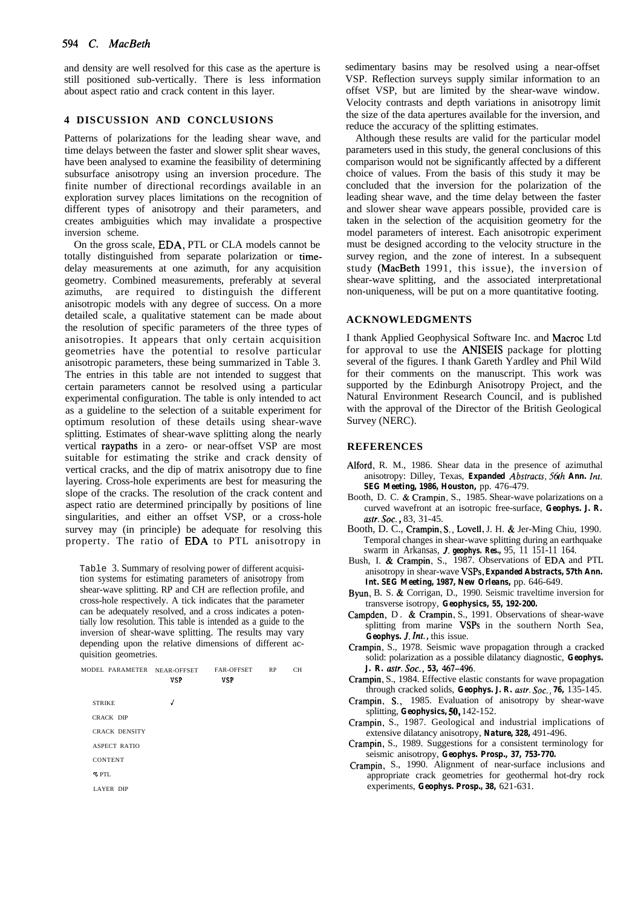and density are well resolved for this case as the aperture is still positioned sub-vertically. There is less information about aspect ratio and crack content in this layer.

## **4 DISCUSSION AND CONCLUSIONS**

Patterns of polarizations for the leading shear wave, and time delays between the faster and slower split shear waves, have been analysed to examine the feasibility of determining subsurface anisotropy using an inversion procedure. The finite number of directional recordings available in an exploration survey places limitations on the recognition of different types of anisotropy and their parameters, and creates ambiguities which may invalidate a prospective inversion scheme.

On the gross scale, EDA, PTL or CLA models cannot be totally distinguished from separate polarization or timedelay measurements at one azimuth, for any acquisition geometry. Combined measurements, preferably at several azimuths, are required to distinguish the different anisotropic models with any degree of success. On a more detailed scale, a qualitative statement can be made about the resolution of specific parameters of the three types of anisotropies. It appears that only certain acquisition geometries have the potential to resolve particular anisotropic parameters, these being summarized in Table 3. The entries in this table are not intended to suggest that certain parameters cannot be resolved using a particular experimental configuration. The table is only intended to act as a guideline to the selection of a suitable experiment for optimum resolution of these details using shear-wave splitting. Estimates of shear-wave splitting along the nearly vertical raypaths in a zero- or near-offset VSP are most suitable for estimating the strike and crack density of vertical cracks, and the dip of matrix anisotropy due to fine layering. Cross-hole experiments are best for measuring the slope of the cracks. The resolution of the crack content and aspect ratio are determined principally by positions of line singularities, and either an offset VSP, or a cross-hole survey may (in principle) be adequate for resolving this property. The ratio of EDA to PTL anisotropy in

Table 3. Summary of resolving power of different acquisition systems for estimating parameters of anisotropy from shear-wave splitting. RP and CH are reflection profile, and cross-hole respectively. A tick indicates that the parameter can be adequately resolved, and a cross indicates a potentially low resolution. This table is intended as a guide to the inversion of shear-wave splitting. The results may vary depending upon the relative dimensions of different acquisition geometries.

| MODEL PARAMETER NEAR-OFFSET | <b>VSP</b> | <b>FAR-OFFSET</b><br>VSP | RP | CH. |
|-----------------------------|------------|--------------------------|----|-----|
| <b>STRIKE</b>               | J          |                          |    |     |
| CRACK DIP                   |            |                          |    |     |
| <b>CRACK DENSITY</b>        |            |                          |    |     |
| <b>ASPECT RATIO</b>         |            |                          |    |     |
| <b>CONTENT</b>              |            |                          |    |     |
| % PTL                       |            |                          |    |     |
| <b>LAYER DIP</b>            |            |                          |    |     |
|                             |            |                          |    |     |

sedimentary basins may be resolved using a near-offset VSP. Reflection surveys supply similar information to an offset VSP, but are limited by the shear-wave window. Velocity contrasts and depth variations in anisotropy limit the size of the data apertures available for the inversion, and reduce the accuracy of the splitting estimates.

Although these results are valid for the particular model parameters used in this study, the general conclusions of this comparison would not be significantly affected by a different choice of values. From the basis of this study it may be concluded that the inversion for the polarization of the leading shear wave, and the time delay between the faster and slower shear wave appears possible, provided care is taken in the selection of the acquisition geometry for the model parameters of interest. Each anisotropic experiment must be designed according to the velocity structure in the survey region, and the zone of interest. In a subsequent study (MacBeth 1991, this issue), the inversion of shear-wave splitting, and the associated interpretational non-uniqueness, will be put on a more quantitative footing.

#### **ACKNOWLEDGMENTS**

I thank Applied Geophysical Software Inc. and Macroc Ltd for approval to use the ANISEIS package for plotting several of the figures. I thank Gareth Yardley and Phil Wild for their comments on the manuscript. This work was supported by the Edinburgh Anisotropy Project, and the Natural Environment Research Council, and is published with the approval of the Director of the British Geological Survey (NERC).

#### **REFERENCES**

- Alford, R. M., 1986. Shear data in the presence of azimuthal anisotropy: Dilley, Texas, **Expanded** Abstracts, 56th Ann. Int. *SEG Meeting, 1986, Houston,* pp. 476-479.
- Booth, D. C. & Crampin, S., 1985. Shear-wave polarizations on a curved wavefront at an isotropic free-surface, *Geophys. J. R.* astr. Soc., 83, 31-45.
- Booth, D. C., Crampin, S., Lovell, J. H. & Jer-Ming Chiu, 1990. Temporal changes in shear-wave splitting during an earthquake swarm in Arkansas, 1. *geophys. Res.,* 95, 11 151-11 164.
- Bush, I. & Crampin, S., 1987. Observations of EDA and PTL anisotropy in shear-wave VSPs, *Expanded Abstracts, 57th Ann. Int. SEG Meeting, 1987, New Orleans,* pp. 646-649.
- Byun, B. S. & Corrigan, D., 1990. Seismic traveltime inversion for transverse isotropy, *Geophysics, 55, 192-200.*
- Campden, D. & Crampin, S., 1991. Observations of shear-wave splitting from marine VSPs in the southern North Sea, *Geophys.* J. Int., this issue.
- Crampin, S., 1978. Seismic wave propagation through a cracked solid: polarization as a possible dilatancy diagnostic, *Geophys. J. R. astr. Soc., 53, 467-496.*
- Crampin, S., 1984. Effective elastic constants for wave propagation through cracked solids, *Geophys. J. R. astr. Sot., 76,* 135-145.
- Crampin, S., 1985. Evaluation of anisotropy by shear-wave splitting, *Geophysics, 50,* 142-152.
- Crampin, S., 1987. Geological and industrial implications of extensive dilatancy anisotropy, *Nature, 328,* 491-496.
- Crampin, S., 1989. Suggestions for a consistent terminology for seismic anisotropy, *Geophys. Prosp., 37, 753-770.*
- Crampin, S., 1990. Alignment of near-surface inclusions and appropriate crack geometries for geothermal hot-dry rock experiments, *Geophys. Prosp., 38,* 621-631.